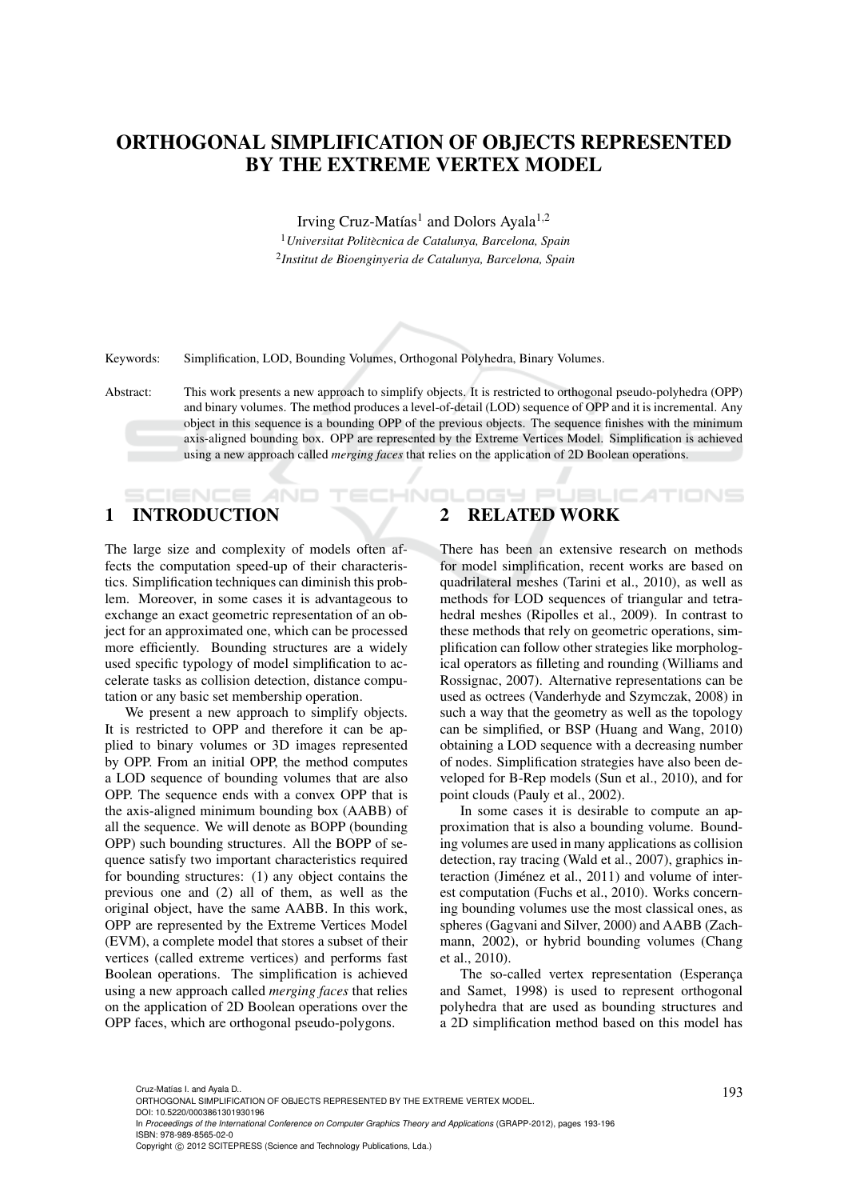# ORTHOGONAL SIMPLIFICATION OF OBJECTS REPRESENTED BY THE EXTREME VERTEX MODEL

Irving Cruz-Matías<sup>1</sup> and Dolors Ayala<sup>1,2</sup>

<sup>1</sup>*Universitat Politecnica de Catalunya, Barcelona, Spain `* 2 *Institut de Bioenginyeria de Catalunya, Barcelona, Spain*

Keywords: Simplification, LOD, Bounding Volumes, Orthogonal Polyhedra, Binary Volumes.

Abstract: This work presents a new approach to simplify objects. It is restricted to orthogonal pseudo-polyhedra (OPP) and binary volumes. The method produces a level-of-detail (LOD) sequence of OPP and it is incremental. Any object in this sequence is a bounding OPP of the previous objects. The sequence finishes with the minimum axis-aligned bounding box. OPP are represented by the Extreme Vertices Model. Simplification is achieved using a new approach called *merging faces* that relies on the application of 2D Boolean operations.

HN

# 1 INTRODUCTION

The large size and complexity of models often affects the computation speed-up of their characteristics. Simplification techniques can diminish this problem. Moreover, in some cases it is advantageous to exchange an exact geometric representation of an object for an approximated one, which can be processed more efficiently. Bounding structures are a widely used specific typology of model simplification to accelerate tasks as collision detection, distance computation or any basic set membership operation.

We present a new approach to simplify objects. It is restricted to OPP and therefore it can be applied to binary volumes or 3D images represented by OPP. From an initial OPP, the method computes a LOD sequence of bounding volumes that are also OPP. The sequence ends with a convex OPP that is the axis-aligned minimum bounding box (AABB) of all the sequence. We will denote as BOPP (bounding OPP) such bounding structures. All the BOPP of sequence satisfy two important characteristics required for bounding structures: (1) any object contains the previous one and (2) all of them, as well as the original object, have the same AABB. In this work, OPP are represented by the Extreme Vertices Model (EVM), a complete model that stores a subset of their vertices (called extreme vertices) and performs fast Boolean operations. The simplification is achieved using a new approach called *merging faces* that relies on the application of 2D Boolean operations over the OPP faces, which are orthogonal pseudo-polygons.

# 2 RELATED WORK

There has been an extensive research on methods for model simplification, recent works are based on quadrilateral meshes (Tarini et al., 2010), as well as methods for LOD sequences of triangular and tetrahedral meshes (Ripolles et al., 2009). In contrast to these methods that rely on geometric operations, simplification can follow other strategies like morphological operators as filleting and rounding (Williams and Rossignac, 2007). Alternative representations can be used as octrees (Vanderhyde and Szymczak, 2008) in such a way that the geometry as well as the topology can be simplified, or BSP (Huang and Wang, 2010) obtaining a LOD sequence with a decreasing number of nodes. Simplification strategies have also been developed for B-Rep models (Sun et al., 2010), and for point clouds (Pauly et al., 2002).

DGY PUBLIC ATIONS

In some cases it is desirable to compute an approximation that is also a bounding volume. Bounding volumes are used in many applications as collision detection, ray tracing (Wald et al., 2007), graphics interaction (Jiménez et al., 2011) and volume of interest computation (Fuchs et al., 2010). Works concerning bounding volumes use the most classical ones, as spheres (Gagvani and Silver, 2000) and AABB (Zachmann, 2002), or hybrid bounding volumes (Chang et al., 2010).

The so-called vertex representation (Esperança and Samet, 1998) is used to represent orthogonal polyhedra that are used as bounding structures and a 2D simplification method based on this model has

<sup>193</sup> Cruz-Matías I. and Ayala D.. ORTHOGONAL SIMPLIFICATION OF OBJECTS REPRESENTED BY THE EXTREME VERTEX MODEL.

DOI: 10.5220/0003861301930196

In *Proceedings of the International Conference on Computer Graphics Theory and Applications* (GRAPP-2012), pages 193-196 ISBN: 978-989-8565-02-0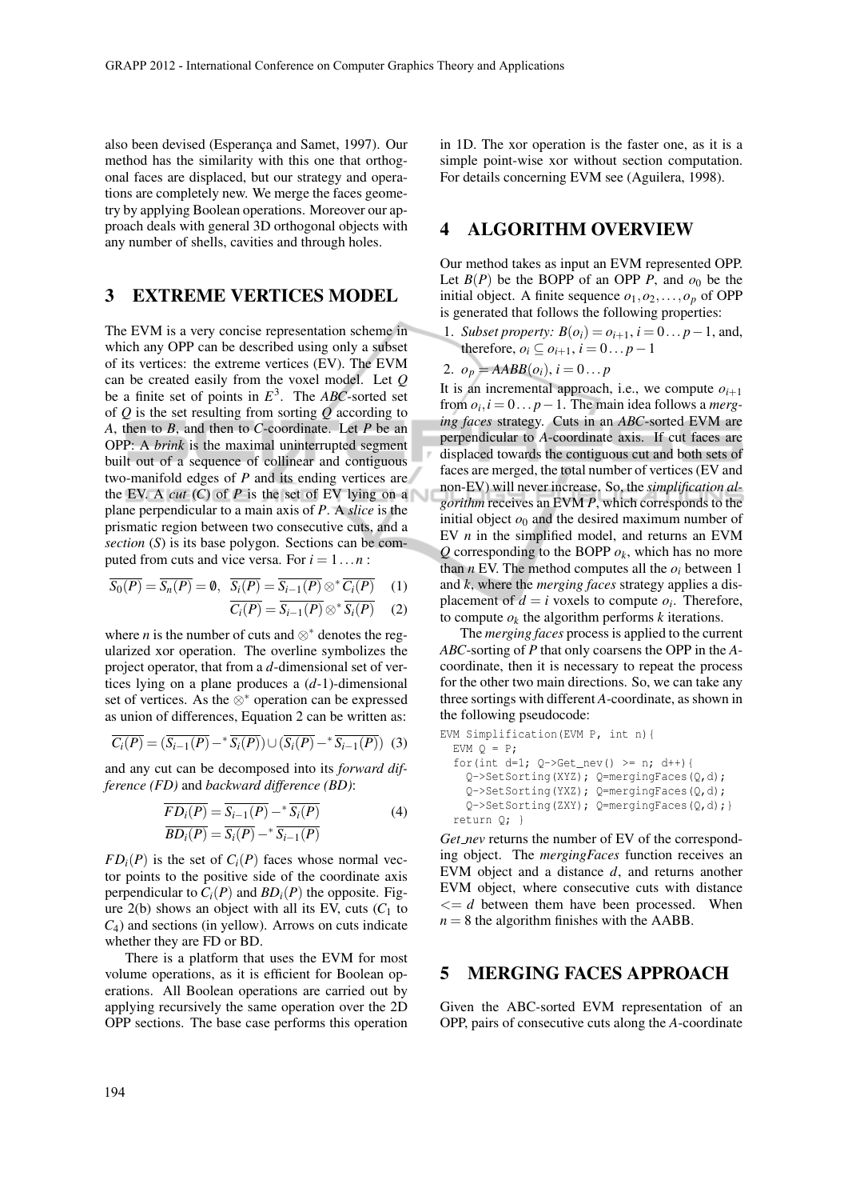also been devised (Esperança and Samet, 1997). Our method has the similarity with this one that orthogonal faces are displaced, but our strategy and operations are completely new. We merge the faces geometry by applying Boolean operations. Moreover our approach deals with general 3D orthogonal objects with any number of shells, cavities and through holes.

### 3 EXTREME VERTICES MODEL

The EVM is a very concise representation scheme in which any OPP can be described using only a subset of its vertices: the extreme vertices (EV). The EVM can be created easily from the voxel model. Let *Q* be a finite set of points in  $E^3$ . The *ABC*-sorted set of *Q* is the set resulting from sorting *Q* according to *A*, then to *B*, and then to *C*-coordinate. Let *P* be an OPP: A *brink* is the maximal uninterrupted segment built out of a sequence of collinear and contiguous two-manifold edges of *P* and its ending vertices are the EV. A *cut* (*C*) of *P* is the set of EV lying on a plane perpendicular to a main axis of *P*. A *slice* is the prismatic region between two consecutive cuts, and a *section* (*S*) is its base polygon. Sections can be computed from cuts and vice versa. For  $i = 1...n$ :

$$
\overline{S_0(P)} = \overline{S_n(P)} = \emptyset, \quad \overline{S_i(P)} = \overline{S_{i-1}(P)} \otimes^* \overline{C_i(P)} \quad (1)
$$

$$
\overline{C_i(P)} = \overline{S_{i-1}(P)} \otimes^* \overline{S_i(P)} \quad (2)
$$

where *n* is the number of cuts and  $\otimes^*$  denotes the regularized xor operation. The overline symbolizes the project operator, that from a *d*-dimensional set of vertices lying on a plane produces a (*d*-1)-dimensional set of vertices. As the ⊗<sup>∗</sup> operation can be expressed as union of differences, Equation 2 can be written as:

$$
\overline{C_i(P)} = (\overline{S_{i-1}(P)} - \overline{S_i(P)}) \cup (\overline{S_i(P)} - \overline{S_{i-1}(P)})
$$
 (3)

and any cut can be decomposed into its *forward difference (FD)* and *backward difference (BD)*:

$$
\frac{\overline{FD_i(P)}}{\overline{BD_i(P)}} = \frac{\overline{S_{i-1}(P)}}{\overline{S_i(P)}} - * \frac{\overline{S_i(P)}}{\overline{S_{i-1}(P)}}\tag{4}
$$

 $FD<sub>i</sub>(P)$  is the set of  $C<sub>i</sub>(P)$  faces whose normal vector points to the positive side of the coordinate axis perpendicular to  $C_i(P)$  and  $BD_i(P)$  the opposite. Figure  $2(b)$  shows an object with all its EV, cuts  $(C_1$  to *C*4) and sections (in yellow). Arrows on cuts indicate whether they are FD or BD.

There is a platform that uses the EVM for most volume operations, as it is efficient for Boolean operations. All Boolean operations are carried out by applying recursively the same operation over the 2D OPP sections. The base case performs this operation in 1D. The xor operation is the faster one, as it is a simple point-wise xor without section computation. For details concerning EVM see (Aguilera, 1998).

#### 4 ALGORITHM OVERVIEW

Our method takes as input an EVM represented OPP. Let  $B(P)$  be the BOPP of an OPP *P*, and  $o_0$  be the initial object. A finite sequence  $o_1$ ,  $o_2$ , ...,  $o_p$  of OPP is generated that follows the following properties:

1. *Subset property:*  $B(o_i) = o_{i+1}$ ,  $i = 0... p - 1$ , and, therefore,  $o_i \subseteq o_{i+1}$ ,  $i = 0...p-1$ 

$$
2. \, o_p = AABB(o_i), i = 0 \dots p
$$

It is an incremental approach, i.e., we compute  $o_{i+1}$ from  $o_i$ ,  $i = 0...p - 1$ . The main idea follows a *merging faces* strategy. Cuts in an *ABC*-sorted EVM are perpendicular to *A*-coordinate axis. If cut faces are displaced towards the contiguous cut and both sets of faces are merged, the total number of vertices (EV and non-EV) will never increase. So, the *simplification algorithm* receives an EVM *P*, which corresponds to the initial object  $o_0$  and the desired maximum number of EV *n* in the simplified model, and returns an EVM  $Q$  corresponding to the BOPP  $o_k$ , which has no more than  $n$  EV. The method computes all the  $o_i$  between 1 and *k*, where the *merging faces* strategy applies a displacement of  $d = i$  voxels to compute  $o_i$ . Therefore, to compute  $o_k$  the algorithm performs  $k$  iterations.

The *merging faces* process is applied to the current *ABC*-sorting of *P* that only coarsens the OPP in the *A*coordinate, then it is necessary to repeat the process for the other two main directions. So, we can take any three sortings with different *A*-coordinate, as shown in the following pseudocode:

EVM Simplification(EVM P, int n){ EVM Q = P; for(int d=1; Q->Get\_nev() >= n; d++){ Q->SetSorting(XYZ); Q=mergingFaces(Q,d); Q->SetSorting(YXZ); Q=mergingFaces(Q,d); Q->SetSorting(ZXY); Q=mergingFaces(Q,d);} return Q; }

*Get nev* returns the number of EV of the corresponding object. The *mergingFaces* function receives an EVM object and a distance *d*, and returns another EVM object, where consecutive cuts with distance  $\leq$  *d* between them have been processed. When  $n = 8$  the algorithm finishes with the AABB.

#### 5 MERGING FACES APPROACH

Given the ABC-sorted EVM representation of an OPP, pairs of consecutive cuts along the *A*-coordinate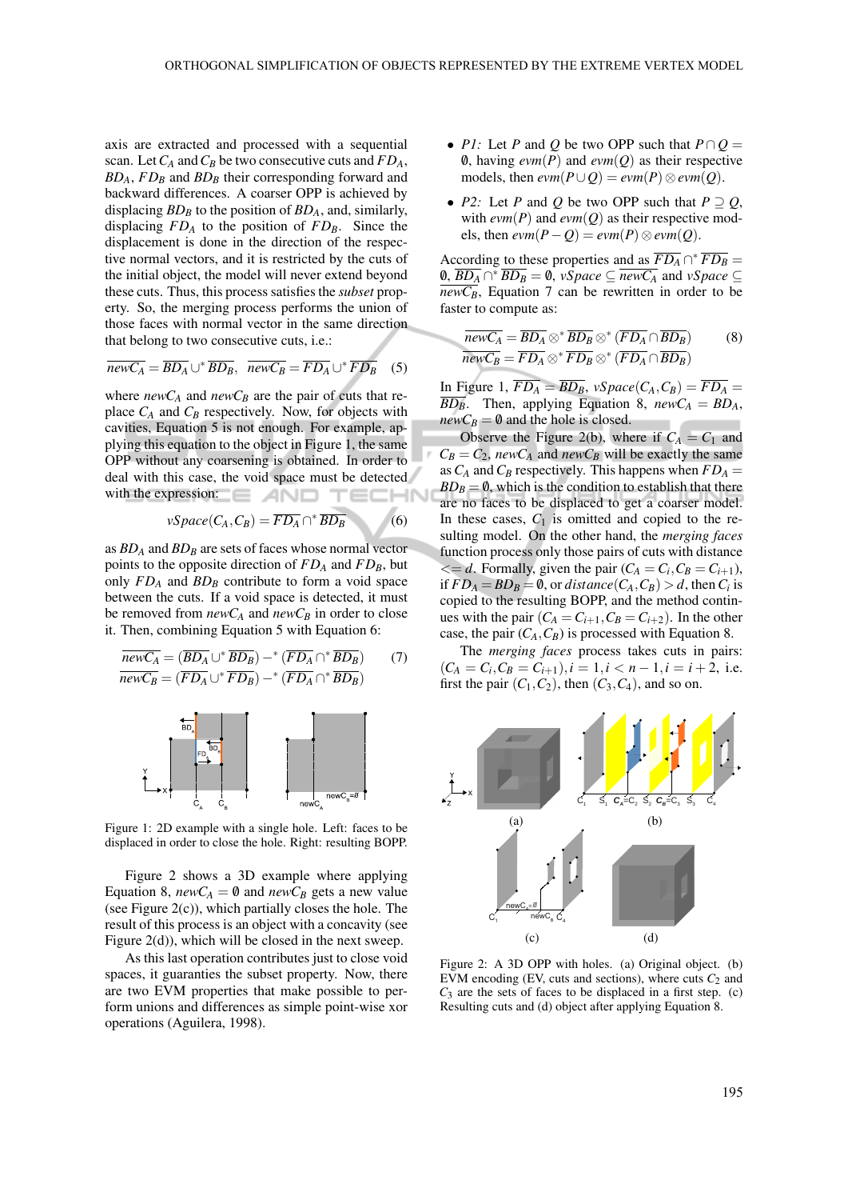axis are extracted and processed with a sequential scan. Let*C<sup>A</sup>* and*C<sup>B</sup>* be two consecutive cuts and *FDA*, *BDA*, *FD<sup>B</sup>* and *BD<sup>B</sup>* their corresponding forward and backward differences. A coarser OPP is achieved by displacing *BD<sup>B</sup>* to the position of *BDA*, and, similarly, displacing  $FD_A$  to the position of  $FD_B$ . Since the displacement is done in the direction of the respective normal vectors, and it is restricted by the cuts of the initial object, the model will never extend beyond these cuts. Thus, this process satisfies the *subset* property. So, the merging process performs the union of those faces with normal vector in the same direction that belong to two consecutive cuts, i.e.:

$$
\overline{newC_A} = \overline{BD_A} \cup^* \overline{BD_B}, \quad \overline{newC_B} = \overline{FD_A} \cup^* \overline{FD_B} \quad (5)
$$

where  $newC_A$  and  $newC_B$  are the pair of cuts that replace *C<sup>A</sup>* and *C<sup>B</sup>* respectively. Now, for objects with cavities, Equation 5 is not enough. For example, applying this equation to the object in Figure 1, the same OPP without any coarsening is obtained. In order to deal with this case, the void space must be detected **ECHN** with the expression: **Fig. 1.1.** 

$$
vSpace(C_A, C_B) = \overline{FD_A} \cap {}^{*} \overline{BD_B}
$$
 (6)

as *BD<sup>A</sup>* and *BD<sup>B</sup>* are sets of faces whose normal vector points to the opposite direction of *FD<sup>A</sup>* and *FDB*, but only *FD<sup>A</sup>* and *BD<sup>B</sup>* contribute to form a void space between the cuts. If a void space is detected, it must be removed from  $newC_A$  and  $newC_B$  in order to close it. Then, combining Equation 5 with Equation 6:

$$
\overline{newC_A} = (\overline{BD_A} \cup^* \overline{BD_B}) -^* (\overline{FD_A} \cap^* \overline{BD_B})
$$
(7)  

$$
\overline{newC_B} = (\overline{FD_A} \cup^* \overline{FD_B}) -^* (\overline{FD_A} \cap^* \overline{BD_B})
$$



Figure 1: 2D example with a single hole. Left: faces to be displaced in order to close the hole. Right: resulting BOPP.

Figure 2 shows a 3D example where applying Equation 8,  $newC_A = \emptyset$  and  $newC_B$  gets a new value (see Figure 2(c)), which partially closes the hole. The result of this process is an object with a concavity (see Figure 2(d)), which will be closed in the next sweep.

As this last operation contributes just to close void spaces, it guaranties the subset property. Now, there are two EVM properties that make possible to perform unions and differences as simple point-wise xor operations (Aguilera, 1998).

- *P1:* Let *P* and *Q* be two OPP such that  $P \cap Q =$ 0, having  $evm(P)$  and  $evm(Q)$  as their respective models, then  $\text{ewm}(P \cup Q) = \text{ewm}(P) \otimes \text{ewm}(Q)$ .
- *P2:* Let *P* and *Q* be two OPP such that  $P \supseteq Q$ , with  $\text{evm}(P)$  and  $\text{evm}(Q)$  as their respective mod $e$ ls, then  $evm(P - Q) = evm(P) \otimes evm(Q)$ .

According to these properties and as  $\overline{FD_A} \cap {^*F\!D_B} =$ **0**,  $\overline{BD_A} \cap \overline{^* BD_B} = 0$ , *vSpace* ⊆  $\overline{newC_A}$  and *vSpace* ⊆  $\overline{newC_B}$ , Equation 7 can be rewritten in order to be faster to compute as:

$$
\overline{newC_A} = \overline{BD_A} \otimes^* \overline{BD_B} \otimes^* (\overline{FD_A} \cap \overline{BD_B})
$$
(8)  

$$
\overline{newC_B} = \overline{FD_A} \otimes^* \overline{FD_B} \otimes^* (\overline{FD_A} \cap \overline{BD_B})
$$

In Figure 1,  $\overline{FD_A} = \overline{BD_B}$ ,  $vSpace(C_A, C_B) = \overline{FD_A} =$  $\overline{BD_B}$ . Then, applying Equation 8, *newC<sub>A</sub>* =  $BD_A$ ,  $newC_B = \emptyset$  and the hole is closed.

Observe the Figure 2(b), where if  $C_A = C_1$  and  $C_B = C_2$ , *new* $C_A$  and *new* $C_B$  will be exactly the same as  $C_A$  and  $C_B$  respectively. This happens when  $FD_A =$  $BD_B = 0$ , which is the condition to establish that there are no faces to be displaced to get a coarser model. In these cases,  $C_1$  is omitted and copied to the resulting model. On the other hand, the *merging faces* function process only those pairs of cuts with distance  $\langle \mathbf{C} \rangle = d$ . Formally, given the pair  $(C_A = C_i, C_B = C_{i+1})$ , if  $FD_A = BD_B = \emptyset$ , or *distance*( $C_A$ , $C_B$ ) > *d*, then  $C_i$  is copied to the resulting BOPP, and the method continues with the pair  $(C_A = C_{i+1}, C_B = C_{i+2})$ . In the other case, the pair  $(C_A, C_B)$  is processed with Equation 8.

The *merging faces* process takes cuts in pairs:  $(C_A = C_i, C_B = C_{i+1}), i = 1, i < n-1, i = i+2$ , i.e. first the pair  $(C_1, C_2)$ , then  $(C_3, C_4)$ , and so on.



Figure 2: A 3D OPP with holes. (a) Original object. (b) EVM encoding (EV, cuts and sections), where cuts  $C_2$  and  $C_3$  are the sets of faces to be displaced in a first step. (c) Resulting cuts and (d) object after applying Equation 8.